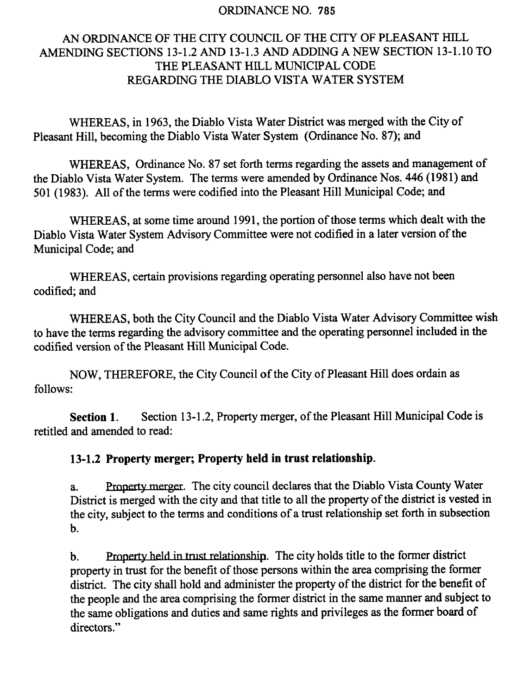#### ORDINANCE NO. 785

### AN ORDINANCE OF THE CITY COUNCIL OF THE CITY OF PLEASANT HILL AMENDING SECTIONS 13-1.2 AND 13-1.3 AND ADDING A NEW SECTION 13-1.10 TO THE PLEASANT HILL MUNICIPAL CODE REGARDING THE DIABLO VISTA WATER SYSTEM

WHEREAS, in 1963, the Diablo Vista Water District was merged with the City of Pleasant Hill, becoming the Diablo Vista Water System ( Ordinance No. 87); and

WHEREAS, Ordinance No. 87 set forth terms regarding the assets and management of the Diablo Vista Water System. The terms were amended by Ordinance Nos. 446 ( 1981) and 501 ( 1983). All of the terms were codified into the Pleasant Hill Municipal Code; and

WHEREAS, at some time around 1991, the portion of those terms which dealt with the Diablo Vista Water System Advisory Committee were not codified in a later version of the Municipal Code; and

WHEREAS, certain provisions regarding operating personnel also have not been codified; and

WHEREAS, both the City Council and the Diablo Vista Water Advisory Committee wish to have the terms regarding the advisory committee and the operating personnel included in the codified version of the Pleasant Hill Municipal Code.

NOW, THEREFORE, the City Council of the City of Pleasant Hill does ordain as follows:

Section 1. Section 13-1.2, Property merger, of the Pleasant Hill Municipal Code is retitled and amended to read:

#### 13-1.2 Property merger; Property held in trust relationship.

a. Property merger. The city council declares that the Diablo Vista County Water District is merged with the city and that title to all the property of the district is vested in the city, subject to the terms and conditions of <sup>a</sup> trust relationship set forth in subsection b.

b. Property held in trust relationship. The city holds title to the former district property in trust for the benefit of those persons within the area comprising the former district. The city shall hold and administer the property of the district for the benefit of the people and the area comprising the former district in the same manner and subject to the same obligations and duties and same rights and privileges as the former board of directors."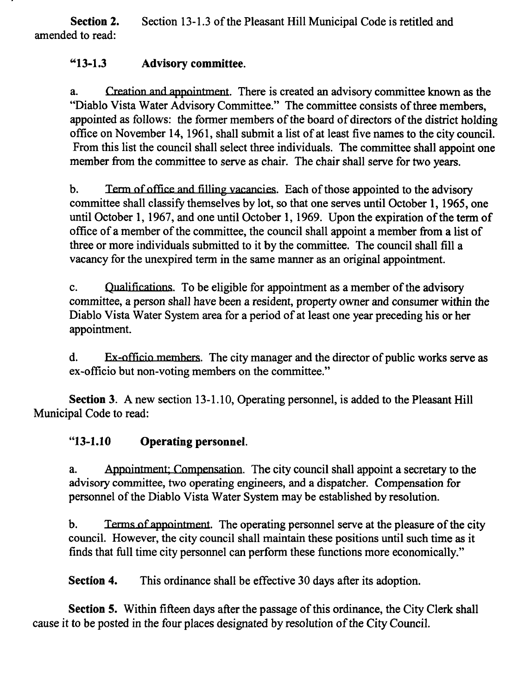Section 2. Section 13-1.3 of the Pleasant Hill Municipal Code is retitled and amended to read:

## "13-1.3 Advisory committee.

a. Creation and appointment. There is created an advisory committee known as the Diablo Vista Water Advisory Committee." The committee consists of three members, appointed as follows: the former members of the board of directors of the district holding office on November 14, 1961, shall submit a list of at least five names to the city council. From this list the council shall select three individuals. The committee shall appoint one member from the committee to serve as chair. The chair shall serve for two years.

b. Term of office and filling vacancies. Each of those appointed to the advisory committee shall classify themselves by lot, so that one serves until October 1, 1965, one until October 1, 1967, and one until October 1, 1969. Upon the expiration of the term of office of <sup>a</sup> member of the committee, the council shall appoint a member from a list of three or more individuals submitted to it by the committee. The council shall fill <sup>a</sup> vacancy for the unexpired term in the same manner as an original appointment.

c. Qualifications. To be eligible for appointment as a member of the advisory committee, a person shall have been a resident, property owner and consumer within the Diablo Vista Water System area for <sup>a</sup> period of at least one year preceding his or her appointment.

d. Ex-officio members. The city manager and the director of public works serve as ex -officio but non-voting members on the committee."

Section 3. A new section 13-1.10, Operating personnel, is added to the Pleasant Hill Municipal Code to read:

## "13-1.10 Operating personnel.

a. Appointment: Compensation. The city council shall appoint a secretary to the advisory committee, two operating engineers, and a dispatcher. Compensation for personnel of the Diablo Vista Water System may be established by resolution.

b. Terms of appointment. The operating personnel serve at the pleasure of the city council. However, the city council shall maintain these positions until such time as it finds that full time city personnel can perform these functions more economically."

Section 4. This ordinance shall be effective 30 days after its adoption.

Section 5. Within fifteen days after the passage of this ordinance, the City Clerk shall cause it to be posted in the four places designated by resolution of the City Council.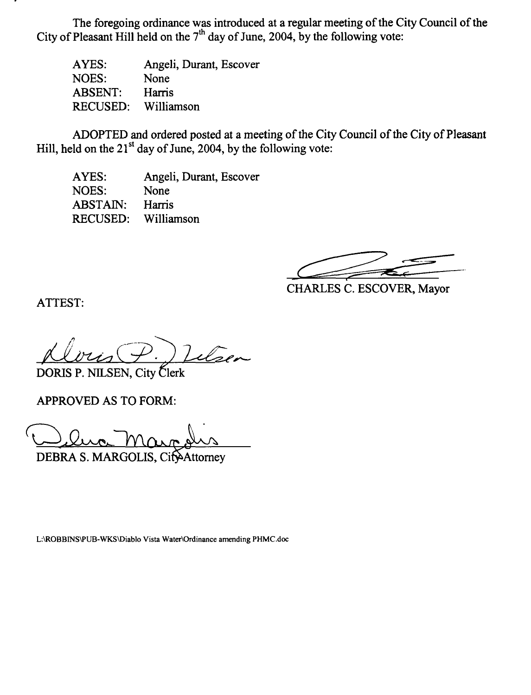The foregoing ordinance was introduced at a regular meeting of the City Council of the City of Pleasant Hill held on the  $7<sup>th</sup>$  day of June, 2004, by the following vote:

AYES: NOES: ABSENT: RECUSED: Angeli, Durant, Escover None Harris Williamson

ADOPTED and ordered posted at a meeting of the City Council of the City of Pleasant Hill, held on the  $21^{st}$  day of June, 2004, by the following vote:

AYES: NOES: ABSTAIN: RECUSED: Angeli, Durant, Escover None Harris Williamson

CHARLES C. ESCOVER, Mayor

ATTEST:

Telsen DORIS P. NILSEN, City Clerk

APPROVED AS TO FORM:

DEBRA S. MARGOLIS, CityAttorney

L:\ROBBINS\PUB-WKS\ Diablo Vista Water\Ordinance amending PHMC.doc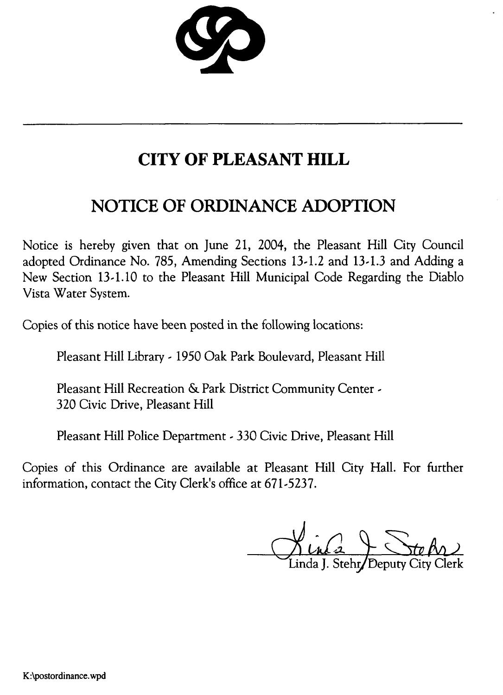

# CITY OF PLEASANT HILL

## NOTICE OF ORDINANCE ADOPTION

Notice is hereby given that on June 21, 2004, the Pleasant Hill City Council adopted Ordinance No. 785, Amending Sections 13-1.2 and 13-1.3 and Adding a New Section 13-1.10 to the Pleasant Hill Municipal Code Regarding the Diablo Vista Water System.

Copies of this notice have been posted in the following locations:

Pleasant Hill Library - <sup>1950</sup> Oak Park Boulevard, Pleasant Hill

Pleasant Hill Recreation & Park District Community Center - 320 Civic Drive, Pleasant Hill

Pleasant Hill Police Department - 330 Civic Drive, Pleasant Hill

Copies of this Ordinance are available at Pleasant Hill City Hall. For further information, contact the City Clerk's office at 671-5237.

 $\overline{\mathcal{X}}$ Linda J. Stehr**/** Deputy City Clerk